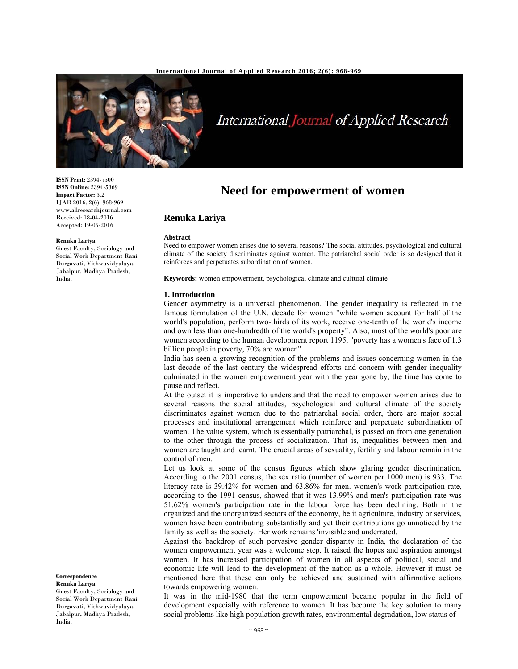

# International Journal of Applied Research

**ISSN Print:** 2394-7500 **ISSN Online:** 2394-5869 **Impact Factor:** 5.2 IJAR 2016; 2(6): 968-969 www.allresearchjournal.com Received: 18-04-2016 Accepted: 19-05-2016

#### **Renuka Lariya**

Guest Faculty, Sociology and Social Work Department Rani Durgavati, Vishwavidyalaya, Jabalpur, Madhya Pradesh, India.

#### **Correspondence Renuka Lariya**

Guest Faculty, Sociology and Social Work Department Rani Durgavati, Vishwavidyalaya, Jabalpur, Madhya Pradesh, India.

# **Need for empowerment of women**

# **Renuka Lariya**

### **Abstract**

Need to empower women arises due to several reasons? The social attitudes, psychological and cultural climate of the society discriminates against women. The patriarchal social order is so designed that it reinforces and perpetuates subordination of women.

**Keywords:** women empowerment, psychological climate and cultural climate

#### **1. Introduction**

Gender asymmetry is a universal phenomenon. The gender inequality is reflected in the famous formulation of the U.N. decade for women "while women account for half of the world's population, perform two-thirds of its work, receive one-tenth of the world's income and own less than one-hundredth of the world's property". Also, most of the world's poor are women according to the human development report 1195, "poverty has a women's face of 1.3 billion people in poverty, 70% are women".

India has seen a growing recognition of the problems and issues concerning women in the last decade of the last century the widespread efforts and concern with gender inequality culminated in the women empowerment year with the year gone by, the time has come to pause and reflect.

At the outset it is imperative to understand that the need to empower women arises due to several reasons the social attitudes, psychological and cultural climate of the society discriminates against women due to the patriarchal social order, there are major social processes and institutional arrangement which reinforce and perpetuate subordination of women. The value system, which is essentially patriarchal, is passed on from one generation to the other through the process of socialization. That is, inequalities between men and women are taught and learnt. The crucial areas of sexuality, fertility and labour remain in the control of men.

Let us look at some of the census figures which show glaring gender discrimination. According to the 2001 census, the sex ratio (number of women per 1000 men) is 933. The literacy rate is 39.42% for women and 63.86% for men. women's work participation rate, according to the 1991 census, showed that it was 13.99% and men's participation rate was 51.62% women's participation rate in the labour force has been declining. Both in the organized and the unorganized sectors of the economy, be it agriculture, industry or services, women have been contributing substantially and yet their contributions go unnoticed by the family as well as the society. Her work remains 'invisible and underrated.

Against the backdrop of such pervasive gender disparity in India, the declaration of the women empowerment year was a welcome step. It raised the hopes and aspiration amongst women. It has increased participation of women in all aspects of political, social and economic life will lead to the development of the nation as a whole. However it must be mentioned here that these can only be achieved and sustained with affirmative actions towards empowering women.

It was in the mid-1980 that the term empowerment became popular in the field of development especially with reference to women. It has become the key solution to many social problems like high population growth rates, environmental degradation, low status of